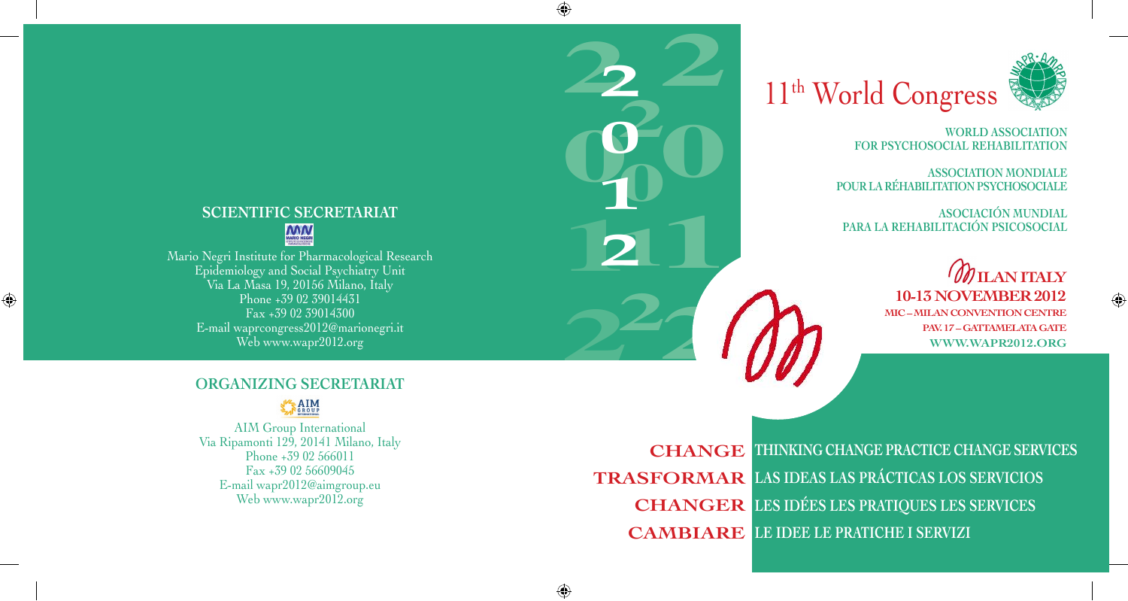# **SCIENTIFIC SECRETARIAT**

## **MM**

Mario Negri Institute for Pharmacological Research Epidemiology and Social Psychiatry Unit Via La Masa 19, 20156 Milano, Italy Phone +39 02 39014431 Fax +39 02 39014300 E-mail waprcongress2012@marionegri.it Web www.wapr2012.org

 $\bigoplus$ 

#### **ORGANIZING SECRETARIAT**

### $ARIM$

AIM Group International Via Ripamonti 129, 20141 Milano, Italy Phone +39 02 566011 Fax +39 02 56609045 E-mail wapr2012@aimgroup.eu Web www.wapr2012.org

11<sup>th</sup> World Congress

**2**

**000** 

2<br>32

**2**

**0**

**1**

**2**

**2**

**0**

**1**

**2**

**0**

**1**

**2**

**1**

**2**

⊕



**World Association for Psychosocial Rehabilitation**

**Association Mondiale PoUR LA Réhabilitation Psychosociale**

**Asociación Mundial para la Rehabilitación Psicosocial**



**change thinking change practice change services trasformar las ideas las prácticas los servicios changer les idées les pratiques les services cambiare le idee le pratiche i servizi**